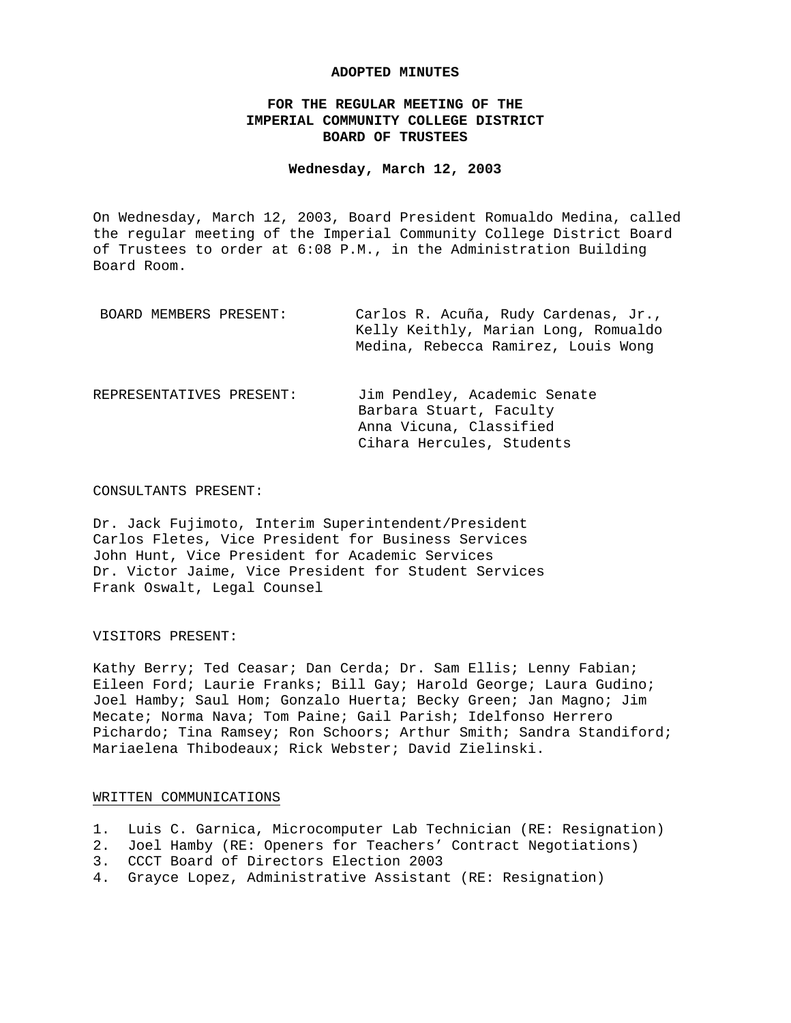#### **ADOPTED MINUTES**

## **FOR THE REGULAR MEETING OF THE IMPERIAL COMMUNITY COLLEGE DISTRICT BOARD OF TRUSTEES**

### **Wednesday, March 12, 2003**

On Wednesday, March 12, 2003, Board President Romualdo Medina, called the regular meeting of the Imperial Community College District Board of Trustees to order at 6:08 P.M., in the Administration Building Board Room.

| BOARD MEMBERS PRESENT:   | Carlos R. Acuña, Rudy Cardenas, Jr.,<br>Kelly Keithly, Marian Long, Romualdo<br>Medina, Rebecca Ramirez, Louis Wong |
|--------------------------|---------------------------------------------------------------------------------------------------------------------|
| REPRESENTATIVES PRESENT: | Jim Pendley, Academic Senate<br>Barbara Stuart, Faculty<br>Anna Vicuna, Classified<br>Cihara Hercules, Students     |

#### CONSULTANTS PRESENT:

Dr. Jack Fujimoto, Interim Superintendent/President Carlos Fletes, Vice President for Business Services John Hunt, Vice President for Academic Services Dr. Victor Jaime, Vice President for Student Services Frank Oswalt, Legal Counsel

#### VISITORS PRESENT:

Kathy Berry; Ted Ceasar; Dan Cerda; Dr. Sam Ellis; Lenny Fabian; Eileen Ford; Laurie Franks; Bill Gay; Harold George; Laura Gudino; Joel Hamby; Saul Hom; Gonzalo Huerta; Becky Green; Jan Magno; Jim Mecate; Norma Nava; Tom Paine; Gail Parish; Idelfonso Herrero Pichardo; Tina Ramsey; Ron Schoors; Arthur Smith; Sandra Standiford; Mariaelena Thibodeaux; Rick Webster; David Zielinski.

## WRITTEN COMMUNICATIONS

- 1. Luis C. Garnica, Microcomputer Lab Technician (RE: Resignation)
- 2. Joel Hamby (RE: Openers for Teachers' Contract Negotiations)
- 3. CCCT Board of Directors Election 2003
- 4. Grayce Lopez, Administrative Assistant (RE: Resignation)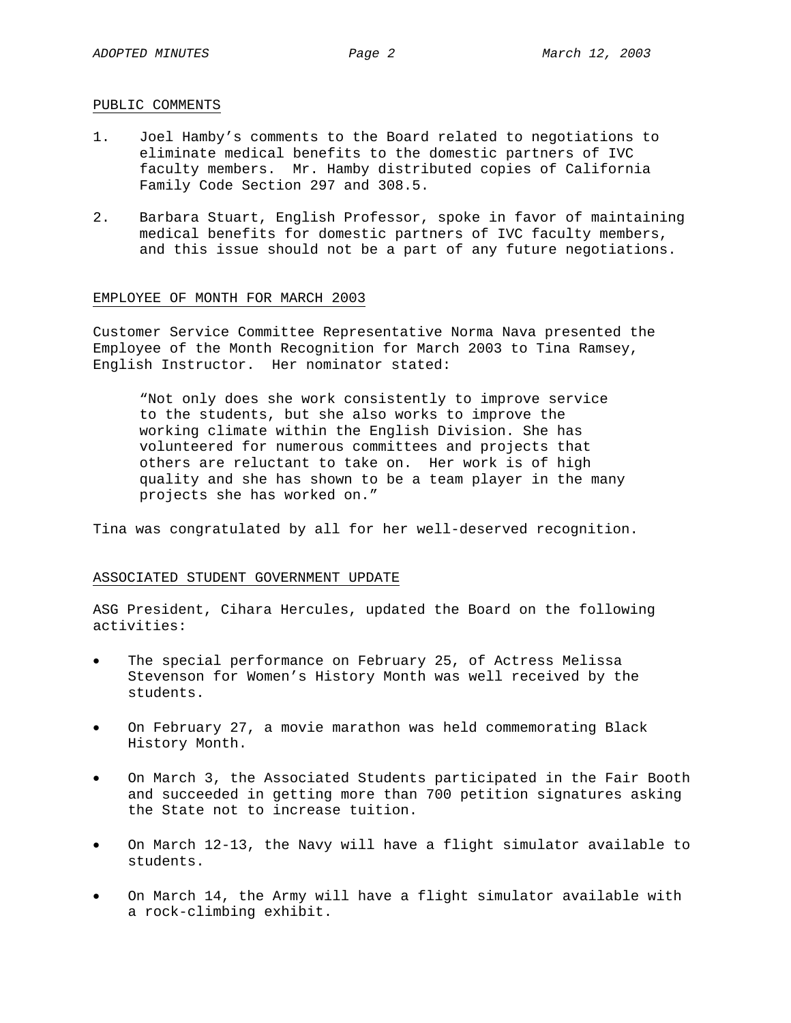#### PUBLIC COMMENTS

- 1. Joel Hamby's comments to the Board related to negotiations to eliminate medical benefits to the domestic partners of IVC faculty members. Mr. Hamby distributed copies of California Family Code Section 297 and 308.5.
- 2. Barbara Stuart, English Professor, spoke in favor of maintaining medical benefits for domestic partners of IVC faculty members, and this issue should not be a part of any future negotiations.

### EMPLOYEE OF MONTH FOR MARCH 2003

Customer Service Committee Representative Norma Nava presented the Employee of the Month Recognition for March 2003 to Tina Ramsey, English Instructor. Her nominator stated:

"Not only does she work consistently to improve service to the students, but she also works to improve the working climate within the English Division. She has volunteered for numerous committees and projects that others are reluctant to take on. Her work is of high quality and she has shown to be a team player in the many projects she has worked on."

Tina was congratulated by all for her well-deserved recognition.

#### ASSOCIATED STUDENT GOVERNMENT UPDATE

ASG President, Cihara Hercules, updated the Board on the following activities:

- The special performance on February 25, of Actress Melissa Stevenson for Women's History Month was well received by the students.
- On February 27, a movie marathon was held commemorating Black History Month.
- On March 3, the Associated Students participated in the Fair Booth and succeeded in getting more than 700 petition signatures asking the State not to increase tuition.
- On March 12-13, the Navy will have a flight simulator available to students.
- On March 14, the Army will have a flight simulator available with a rock-climbing exhibit.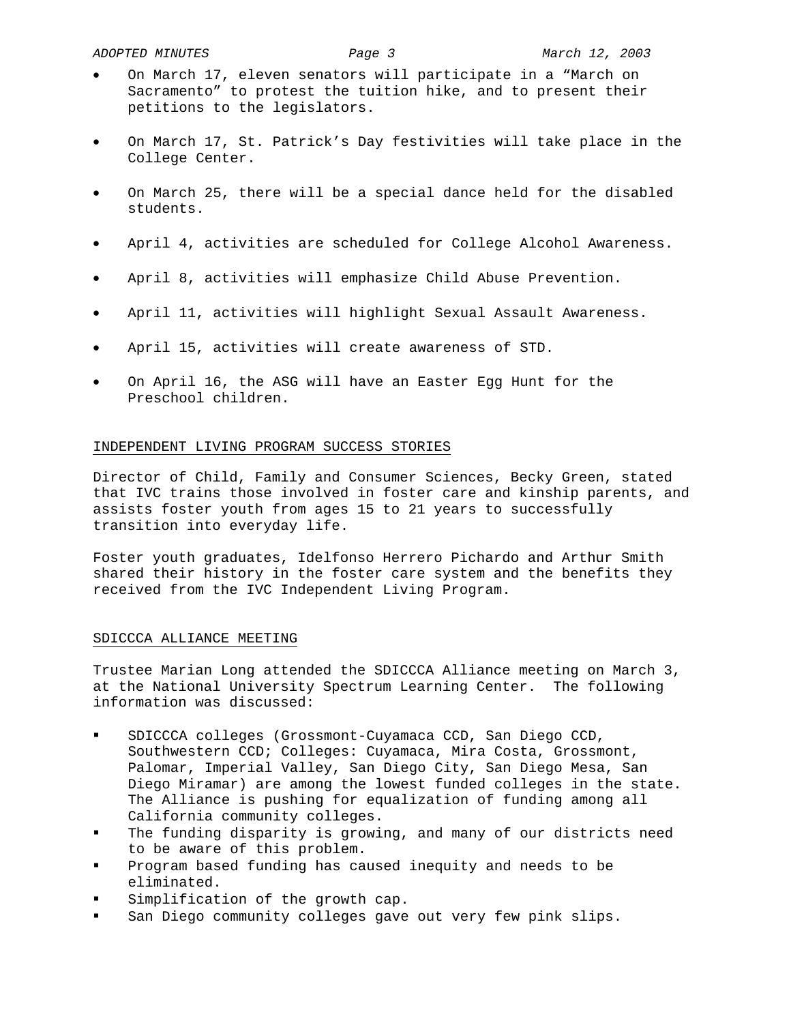- On March 17, eleven senators will participate in a "March on Sacramento" to protest the tuition hike, and to present their petitions to the legislators.
- On March 17, St. Patrick's Day festivities will take place in the College Center.
- On March 25, there will be a special dance held for the disabled students.
- April 4, activities are scheduled for College Alcohol Awareness.
- April 8, activities will emphasize Child Abuse Prevention.
- April 11, activities will highlight Sexual Assault Awareness.
- April 15, activities will create awareness of STD.
- On April 16, the ASG will have an Easter Egg Hunt for the Preschool children.

### INDEPENDENT LIVING PROGRAM SUCCESS STORIES

Director of Child, Family and Consumer Sciences, Becky Green, stated that IVC trains those involved in foster care and kinship parents, and assists foster youth from ages 15 to 21 years to successfully transition into everyday life.

Foster youth graduates, Idelfonso Herrero Pichardo and Arthur Smith shared their history in the foster care system and the benefits they received from the IVC Independent Living Program.

## SDICCCA ALLIANCE MEETING

Trustee Marian Long attended the SDICCCA Alliance meeting on March 3, at the National University Spectrum Learning Center. The following information was discussed:

- SDICCCA colleges (Grossmont-Cuyamaca CCD, San Diego CCD, Southwestern CCD; Colleges: Cuyamaca, Mira Costa, Grossmont, Palomar, Imperial Valley, San Diego City, San Diego Mesa, San Diego Miramar) are among the lowest funded colleges in the state. The Alliance is pushing for equalization of funding among all California community colleges.
- The funding disparity is growing, and many of our districts need to be aware of this problem.
- Program based funding has caused inequity and needs to be eliminated.
- Simplification of the growth cap.
- San Diego community colleges gave out very few pink slips.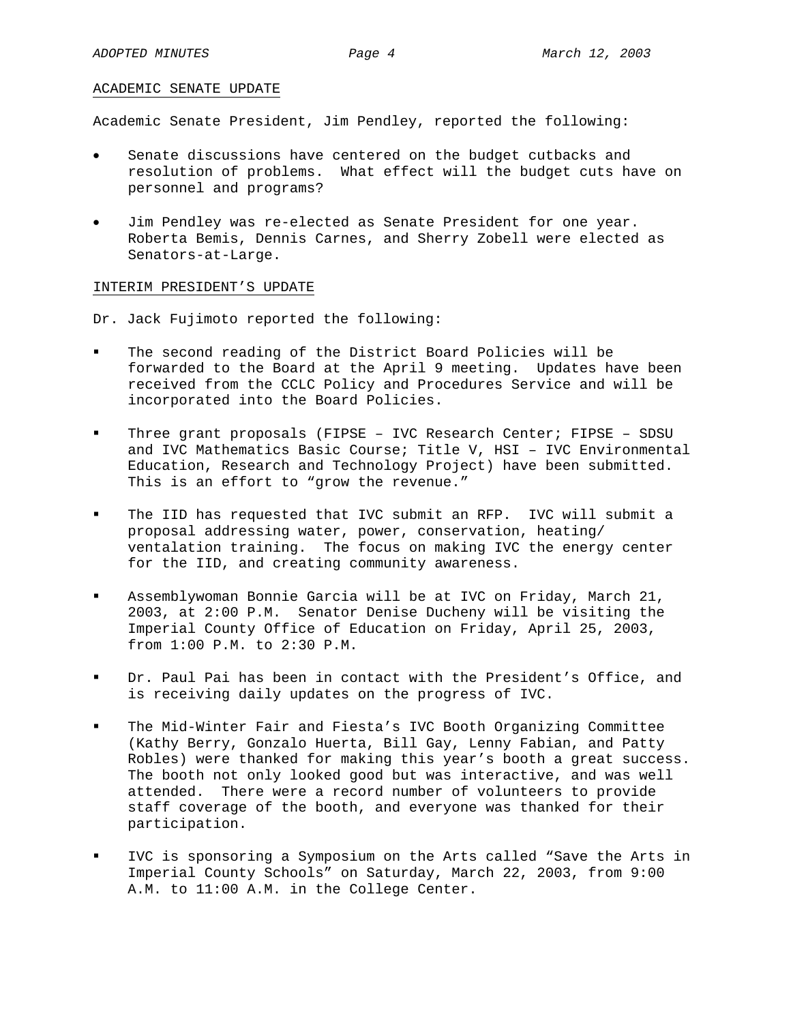#### ACADEMIC SENATE UPDATE

Academic Senate President, Jim Pendley, reported the following:

- Senate discussions have centered on the budget cutbacks and resolution of problems. What effect will the budget cuts have on personnel and programs?
- Jim Pendley was re-elected as Senate President for one year. Roberta Bemis, Dennis Carnes, and Sherry Zobell were elected as Senators-at-Large.

#### INTERIM PRESIDENT'S UPDATE

Dr. Jack Fujimoto reported the following:

- The second reading of the District Board Policies will be forwarded to the Board at the April 9 meeting. Updates have been received from the CCLC Policy and Procedures Service and will be incorporated into the Board Policies.
- Three grant proposals (FIPSE IVC Research Center; FIPSE SDSU and IVC Mathematics Basic Course; Title V, HSI – IVC Environmental Education, Research and Technology Project) have been submitted. This is an effort to "grow the revenue."
- The IID has requested that IVC submit an RFP. IVC will submit a proposal addressing water, power, conservation, heating/ ventalation training. The focus on making IVC the energy center for the IID, and creating community awareness.
- Assemblywoman Bonnie Garcia will be at IVC on Friday, March 21, 2003, at 2:00 P.M. Senator Denise Ducheny will be visiting the Imperial County Office of Education on Friday, April 25, 2003, from 1:00 P.M. to 2:30 P.M.
- Dr. Paul Pai has been in contact with the President's Office, and is receiving daily updates on the progress of IVC.
- The Mid-Winter Fair and Fiesta's IVC Booth Organizing Committee (Kathy Berry, Gonzalo Huerta, Bill Gay, Lenny Fabian, and Patty Robles) were thanked for making this year's booth a great success. The booth not only looked good but was interactive, and was well attended. There were a record number of volunteers to provide staff coverage of the booth, and everyone was thanked for their participation.
- IVC is sponsoring a Symposium on the Arts called "Save the Arts in Imperial County Schools" on Saturday, March 22, 2003, from 9:00 A.M. to 11:00 A.M. in the College Center.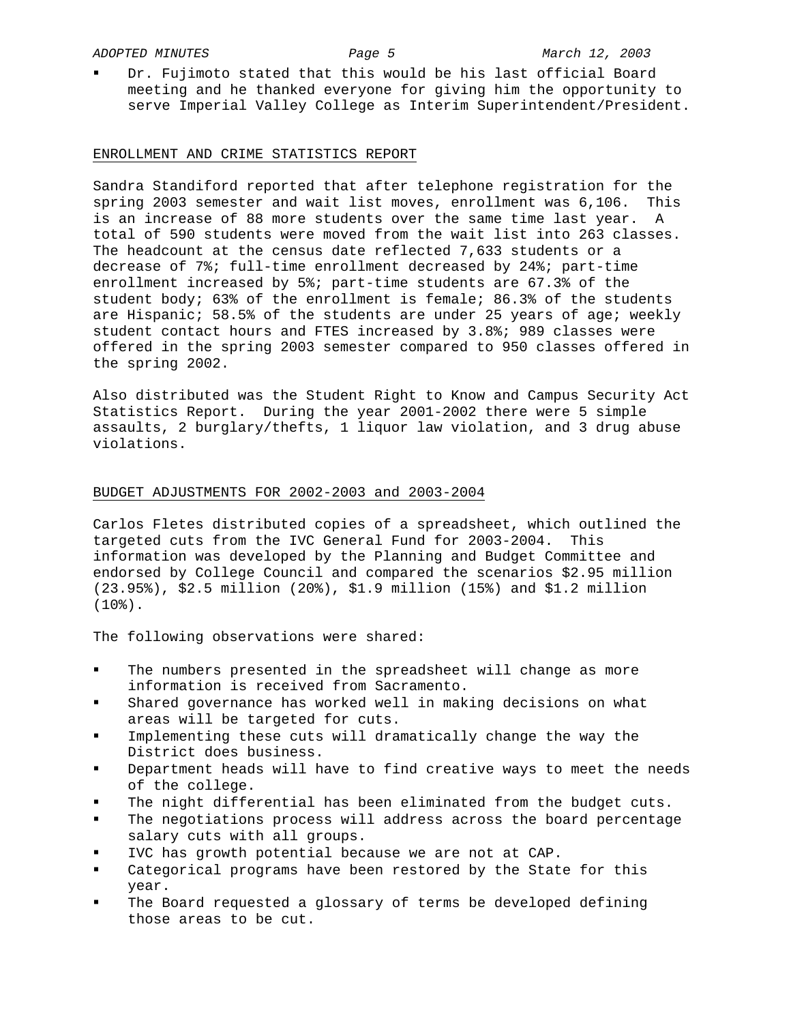Dr. Fujimoto stated that this would be his last official Board meeting and he thanked everyone for giving him the opportunity to serve Imperial Valley College as Interim Superintendent/President.

### ENROLLMENT AND CRIME STATISTICS REPORT

Sandra Standiford reported that after telephone registration for the spring 2003 semester and wait list moves, enrollment was 6,106. This is an increase of 88 more students over the same time last year. A total of 590 students were moved from the wait list into 263 classes. The headcount at the census date reflected 7,633 students or a decrease of 7%; full-time enrollment decreased by 24%; part-time enrollment increased by 5%; part-time students are 67.3% of the student body; 63% of the enrollment is female; 86.3% of the students are Hispanic; 58.5% of the students are under 25 years of age; weekly student contact hours and FTES increased by 3.8%; 989 classes were offered in the spring 2003 semester compared to 950 classes offered in the spring 2002.

Also distributed was the Student Right to Know and Campus Security Act Statistics Report. During the year 2001-2002 there were 5 simple assaults, 2 burglary/thefts, 1 liquor law violation, and 3 drug abuse violations.

### BUDGET ADJUSTMENTS FOR 2002-2003 and 2003-2004

Carlos Fletes distributed copies of a spreadsheet, which outlined the targeted cuts from the IVC General Fund for 2003-2004. This information was developed by the Planning and Budget Committee and endorsed by College Council and compared the scenarios \$2.95 million (23.95%), \$2.5 million (20%), \$1.9 million (15%) and \$1.2 million (10%).

The following observations were shared:

- The numbers presented in the spreadsheet will change as more information is received from Sacramento.
- Shared governance has worked well in making decisions on what areas will be targeted for cuts.
- Implementing these cuts will dramatically change the way the District does business.
- Department heads will have to find creative ways to meet the needs of the college.
- The night differential has been eliminated from the budget cuts.
- The negotiations process will address across the board percentage salary cuts with all groups.
- IVC has growth potential because we are not at CAP.
- Categorical programs have been restored by the State for this year.
- The Board requested a glossary of terms be developed defining those areas to be cut.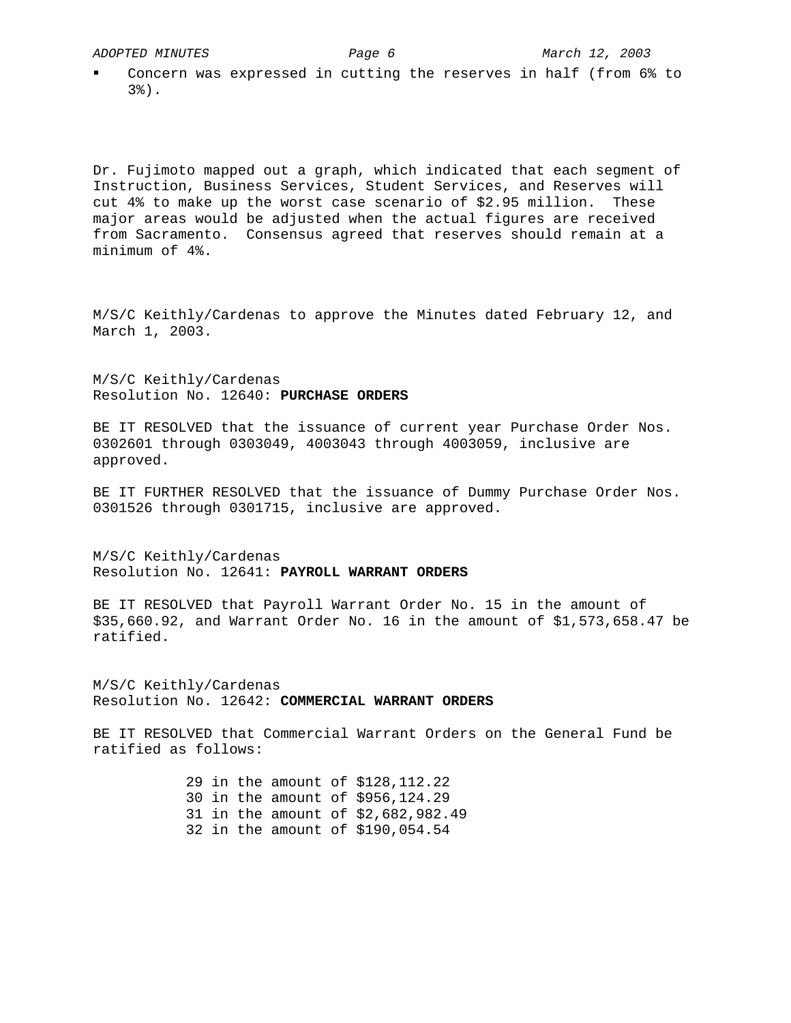Concern was expressed in cutting the reserves in half (from 6% to 3%).

Dr. Fujimoto mapped out a graph, which indicated that each segment of Instruction, Business Services, Student Services, and Reserves will cut 4% to make up the worst case scenario of \$2.95 million. These major areas would be adjusted when the actual figures are received from Sacramento. Consensus agreed that reserves should remain at a minimum of 4%.

M/S/C Keithly/Cardenas to approve the Minutes dated February 12, and March 1, 2003.

M/S/C Keithly/Cardenas Resolution No. 12640: **PURCHASE ORDERS**

BE IT RESOLVED that the issuance of current year Purchase Order Nos. 0302601 through 0303049, 4003043 through 4003059, inclusive are approved.

BE IT FURTHER RESOLVED that the issuance of Dummy Purchase Order Nos. 0301526 through 0301715, inclusive are approved.

M/S/C Keithly/Cardenas Resolution No. 12641: **PAYROLL WARRANT ORDERS**

BE IT RESOLVED that Payroll Warrant Order No. 15 in the amount of \$35,660.92, and Warrant Order No. 16 in the amount of \$1,573,658.47 be ratified.

M/S/C Keithly/Cardenas Resolution No. 12642: **COMMERCIAL WARRANT ORDERS**

BE IT RESOLVED that Commercial Warrant Orders on the General Fund be ratified as follows:

> 29 in the amount of \$128,112.22 30 in the amount of \$956,124.29 31 in the amount of \$2,682,982.49 32 in the amount of \$190,054.54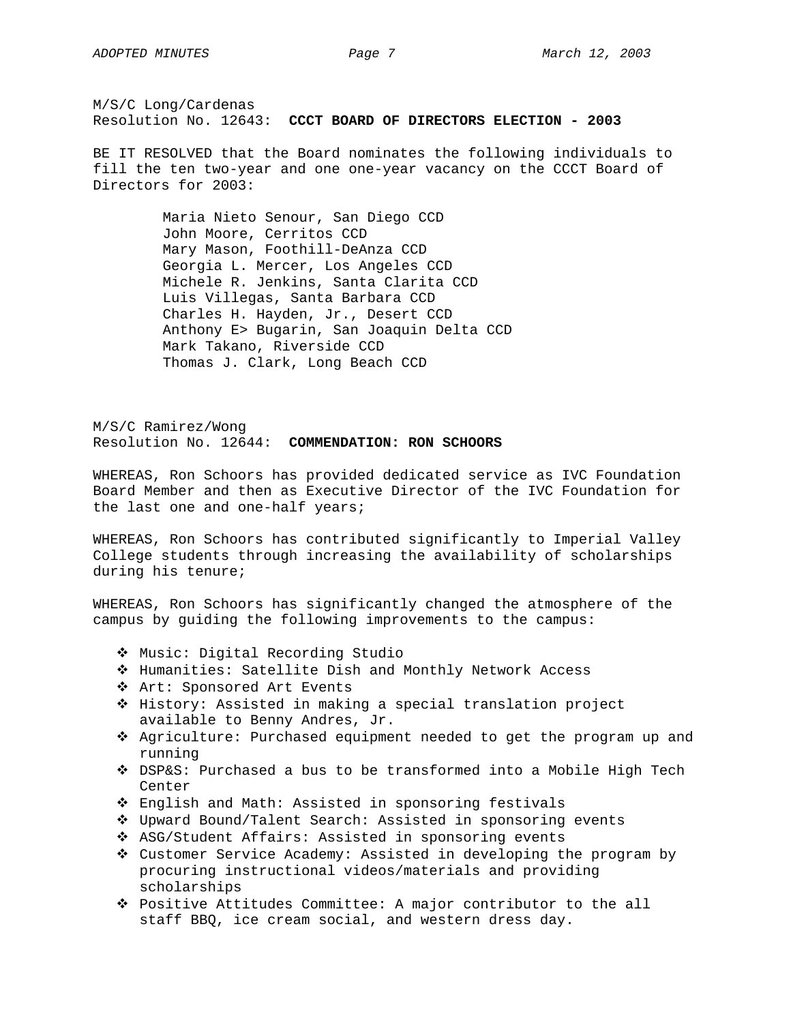BE IT RESOLVED that the Board nominates the following individuals to fill the ten two-year and one one-year vacancy on the CCCT Board of Directors for 2003:

> Maria Nieto Senour, San Diego CCD John Moore, Cerritos CCD Mary Mason, Foothill-DeAnza CCD Georgia L. Mercer, Los Angeles CCD Michele R. Jenkins, Santa Clarita CCD Luis Villegas, Santa Barbara CCD Charles H. Hayden, Jr., Desert CCD Anthony E> Bugarin, San Joaquin Delta CCD Mark Takano, Riverside CCD Thomas J. Clark, Long Beach CCD

M/S/C Ramirez/Wong Resolution No. 12644: **COMMENDATION: RON SCHOORS** 

WHEREAS, Ron Schoors has provided dedicated service as IVC Foundation Board Member and then as Executive Director of the IVC Foundation for the last one and one-half years;

WHEREAS, Ron Schoors has contributed significantly to Imperial Valley College students through increasing the availability of scholarships during his tenure;

WHEREAS, Ron Schoors has significantly changed the atmosphere of the campus by guiding the following improvements to the campus:

- Music: Digital Recording Studio
- Humanities: Satellite Dish and Monthly Network Access
- Art: Sponsored Art Events
- ◆ History: Assisted in making a special translation project available to Benny Andres, Jr.
- Agriculture: Purchased equipment needed to get the program up and running
- DSP&S: Purchased a bus to be transformed into a Mobile High Tech Center
- English and Math: Assisted in sponsoring festivals
- Upward Bound/Talent Search: Assisted in sponsoring events
- ASG/Student Affairs: Assisted in sponsoring events
- Customer Service Academy: Assisted in developing the program by procuring instructional videos/materials and providing scholarships
- Positive Attitudes Committee: A major contributor to the all staff BBQ, ice cream social, and western dress day.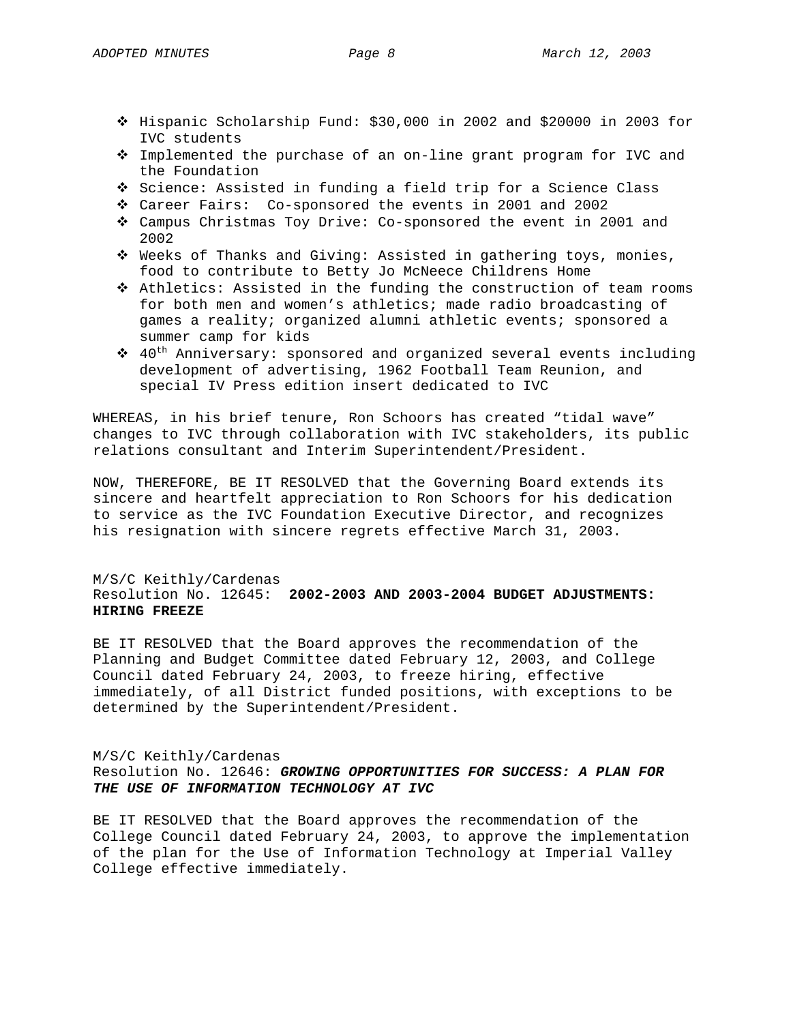- $\div$  Hispanic Scholarship Fund: \$30,000 in 2002 and \$20000 in 2003 for IVC students
- Implemented the purchase of an on-line grant program for IVC and the Foundation
- $\hat{P}$  Science: Assisted in funding a field trip for a Science Class
- Career Fairs: Co-sponsored the events in 2001 and 2002
- Campus Christmas Toy Drive: Co-sponsored the event in 2001 and 2002
- Weeks of Thanks and Giving: Assisted in gathering toys, monies, food to contribute to Betty Jo McNeece Childrens Home
- Athletics: Assisted in the funding the construction of team rooms for both men and women's athletics; made radio broadcasting of games a reality; organized alumni athletic events; sponsored a summer camp for kids
- $\hat{P}$  40<sup>th</sup> Anniversary: sponsored and organized several events including development of advertising, 1962 Football Team Reunion, and special IV Press edition insert dedicated to IVC

WHEREAS, in his brief tenure, Ron Schoors has created "tidal wave" changes to IVC through collaboration with IVC stakeholders, its public relations consultant and Interim Superintendent/President.

NOW, THEREFORE, BE IT RESOLVED that the Governing Board extends its sincere and heartfelt appreciation to Ron Schoors for his dedication to service as the IVC Foundation Executive Director, and recognizes his resignation with sincere regrets effective March 31, 2003.

### M/S/C Keithly/Cardenas

## Resolution No. 12645: **2002-2003 AND 2003-2004 BUDGET ADJUSTMENTS: HIRING FREEZE**

BE IT RESOLVED that the Board approves the recommendation of the Planning and Budget Committee dated February 12, 2003, and College Council dated February 24, 2003, to freeze hiring, effective immediately, of all District funded positions, with exceptions to be determined by the Superintendent/President.

#### M/S/C Keithly/Cardenas

Resolution No. 12646: *GROWING OPPORTUNITIES FOR SUCCESS: A PLAN FOR THE USE OF INFORMATION TECHNOLOGY AT IVC*

BE IT RESOLVED that the Board approves the recommendation of the College Council dated February 24, 2003, to approve the implementation of the plan for the Use of Information Technology at Imperial Valley College effective immediately.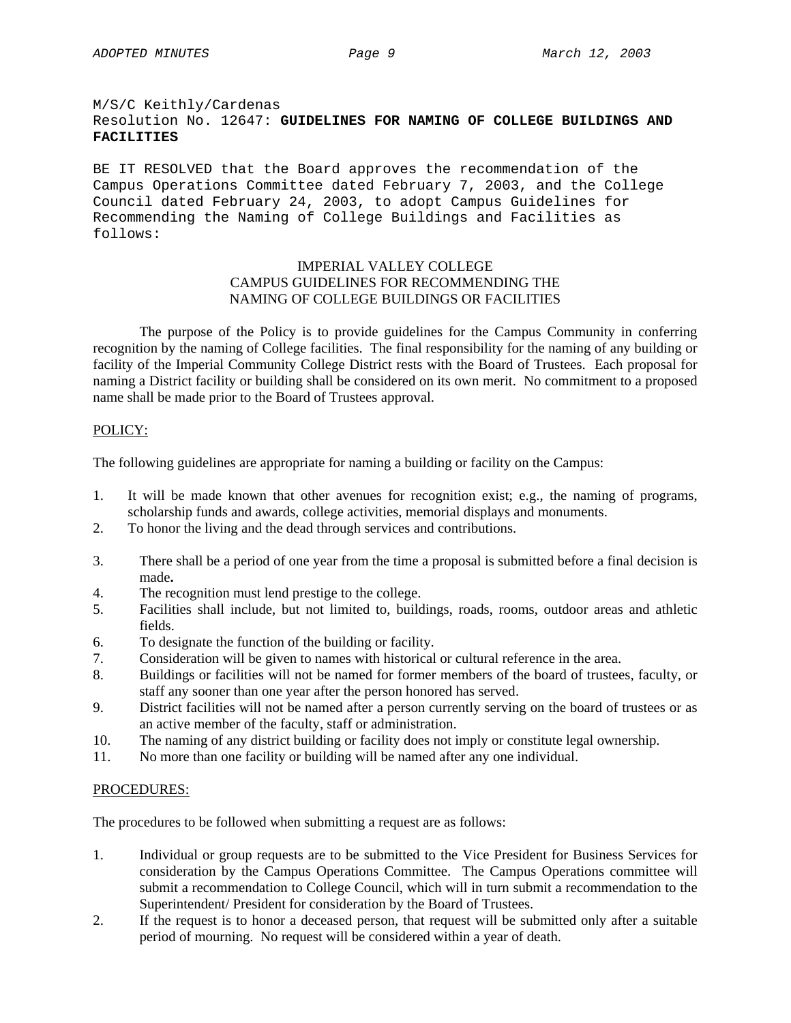# M/S/C Keithly/Cardenas Resolution No. 12647: **GUIDELINES FOR NAMING OF COLLEGE BUILDINGS AND FACILITIES**

BE IT RESOLVED that the Board approves the recommendation of the Campus Operations Committee dated February 7, 2003, and the College Council dated February 24, 2003, to adopt Campus Guidelines for Recommending the Naming of College Buildings and Facilities as follows:

# IMPERIAL VALLEY COLLEGE CAMPUS GUIDELINES FOR RECOMMENDING THE NAMING OF COLLEGE BUILDINGS OR FACILITIES

 The purpose of the Policy is to provide guidelines for the Campus Community in conferring recognition by the naming of College facilities. The final responsibility for the naming of any building or facility of the Imperial Community College District rests with the Board of Trustees. Each proposal for naming a District facility or building shall be considered on its own merit. No commitment to a proposed name shall be made prior to the Board of Trustees approval.

# POLICY:

The following guidelines are appropriate for naming a building or facility on the Campus:

- 1. It will be made known that other avenues for recognition exist; e.g., the naming of programs, scholarship funds and awards, college activities, memorial displays and monuments.
- 2. To honor the living and the dead through services and contributions.
- 3. There shall be a period of one year from the time a proposal is submitted before a final decision is made**.**
- 4. The recognition must lend prestige to the college.
- 5. Facilities shall include, but not limited to, buildings, roads, rooms, outdoor areas and athletic fields.
- 6. To designate the function of the building or facility.
- 7. Consideration will be given to names with historical or cultural reference in the area.
- 8. Buildings or facilities will not be named for former members of the board of trustees, faculty, or staff any sooner than one year after the person honored has served.
- 9. District facilities will not be named after a person currently serving on the board of trustees or as an active member of the faculty, staff or administration.
- 10. The naming of any district building or facility does not imply or constitute legal ownership.
- 11. No more than one facility or building will be named after any one individual.

## PROCEDURES:

The procedures to be followed when submitting a request are as follows:

- 1. Individual or group requests are to be submitted to the Vice President for Business Services for consideration by the Campus Operations Committee. The Campus Operations committee will submit a recommendation to College Council, which will in turn submit a recommendation to the Superintendent/ President for consideration by the Board of Trustees.
- 2. If the request is to honor a deceased person, that request will be submitted only after a suitable period of mourning. No request will be considered within a year of death.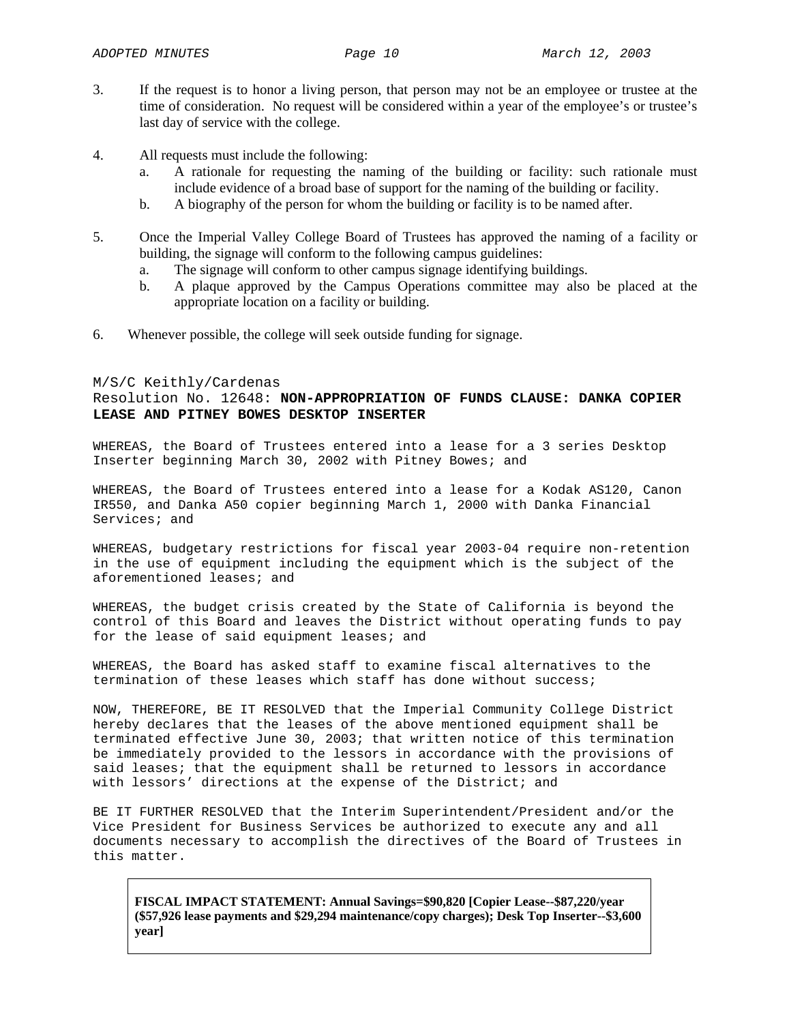- 3. If the request is to honor a living person, that person may not be an employee or trustee at the time of consideration. No request will be considered within a year of the employee's or trustee's last day of service with the college.
- 4. All requests must include the following:
	- a. A rationale for requesting the naming of the building or facility: such rationale must include evidence of a broad base of support for the naming of the building or facility.
	- b. A biography of the person for whom the building or facility is to be named after.
- 5. Once the Imperial Valley College Board of Trustees has approved the naming of a facility or building, the signage will conform to the following campus guidelines:
	- a. The signage will conform to other campus signage identifying buildings.
	- b. A plaque approved by the Campus Operations committee may also be placed at the appropriate location on a facility or building.
- 6. Whenever possible, the college will seek outside funding for signage.

### M/S/C Keithly/Cardenas

# Resolution No. 12648: **NON-APPROPRIATION OF FUNDS CLAUSE: DANKA COPIER LEASE AND PITNEY BOWES DESKTOP INSERTER**

WHEREAS, the Board of Trustees entered into a lease for a 3 series Desktop Inserter beginning March 30, 2002 with Pitney Bowes; and

WHEREAS, the Board of Trustees entered into a lease for a Kodak AS120, Canon IR550, and Danka A50 copier beginning March 1, 2000 with Danka Financial Services; and

WHEREAS, budgetary restrictions for fiscal year 2003-04 require non-retention in the use of equipment including the equipment which is the subject of the aforementioned leases; and

WHEREAS, the budget crisis created by the State of California is beyond the control of this Board and leaves the District without operating funds to pay for the lease of said equipment leases; and

WHEREAS, the Board has asked staff to examine fiscal alternatives to the termination of these leases which staff has done without success;

NOW, THEREFORE, BE IT RESOLVED that the Imperial Community College District hereby declares that the leases of the above mentioned equipment shall be terminated effective June 30, 2003; that written notice of this termination be immediately provided to the lessors in accordance with the provisions of said leases; that the equipment shall be returned to lessors in accordance with lessors' directions at the expense of the District; and

BE IT FURTHER RESOLVED that the Interim Superintendent/President and/or the Vice President for Business Services be authorized to execute any and all documents necessary to accomplish the directives of the Board of Trustees in this matter.

**FISCAL IMPACT STATEMENT: Annual Savings=\$90,820 [Copier Lease--\$87,220/year (\$57,926 lease payments and \$29,294 maintenance/copy charges); Desk Top Inserter--\$3,600 year]**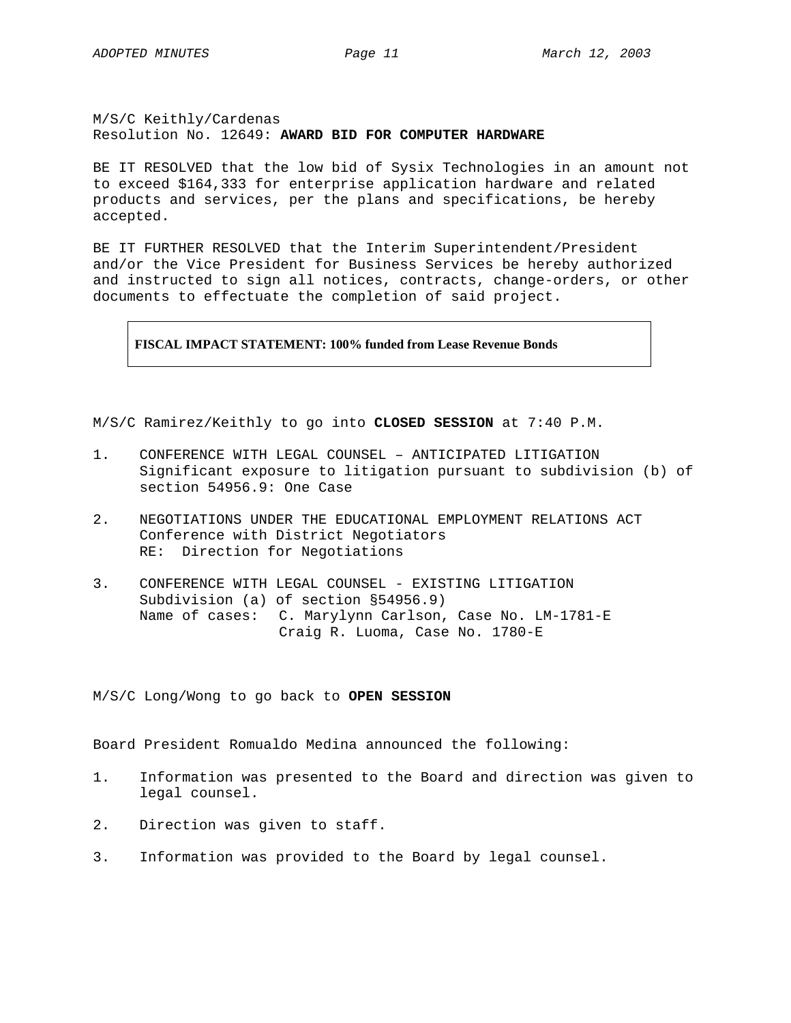## M/S/C Keithly/Cardenas Resolution No. 12649: **AWARD BID FOR COMPUTER HARDWARE**

BE IT RESOLVED that the low bid of Sysix Technologies in an amount not to exceed \$164,333 for enterprise application hardware and related products and services, per the plans and specifications, be hereby accepted.

BE IT FURTHER RESOLVED that the Interim Superintendent/President and/or the Vice President for Business Services be hereby authorized and instructed to sign all notices, contracts, change-orders, or other documents to effectuate the completion of said project.

**FISCAL IMPACT STATEMENT: 100% funded from Lease Revenue Bonds** 

M/S/C Ramirez/Keithly to go into **CLOSED SESSION** at 7:40 P.M.

- 1. CONFERENCE WITH LEGAL COUNSEL ANTICIPATED LITIGATION Significant exposure to litigation pursuant to subdivision (b) of section 54956.9: One Case
- 2. NEGOTIATIONS UNDER THE EDUCATIONAL EMPLOYMENT RELATIONS ACT Conference with District Negotiators RE: Direction for Negotiations
- 3. CONFERENCE WITH LEGAL COUNSEL EXISTING LITIGATION Subdivision (a) of section §54956.9) Name of cases: C. Marylynn Carlson, Case No. LM-1781-E Craig R. Luoma, Case No. 1780-E

M/S/C Long/Wong to go back to **OPEN SESSION** 

Board President Romualdo Medina announced the following:

- 1. Information was presented to the Board and direction was given to legal counsel.
- 2. Direction was given to staff.
- 3. Information was provided to the Board by legal counsel.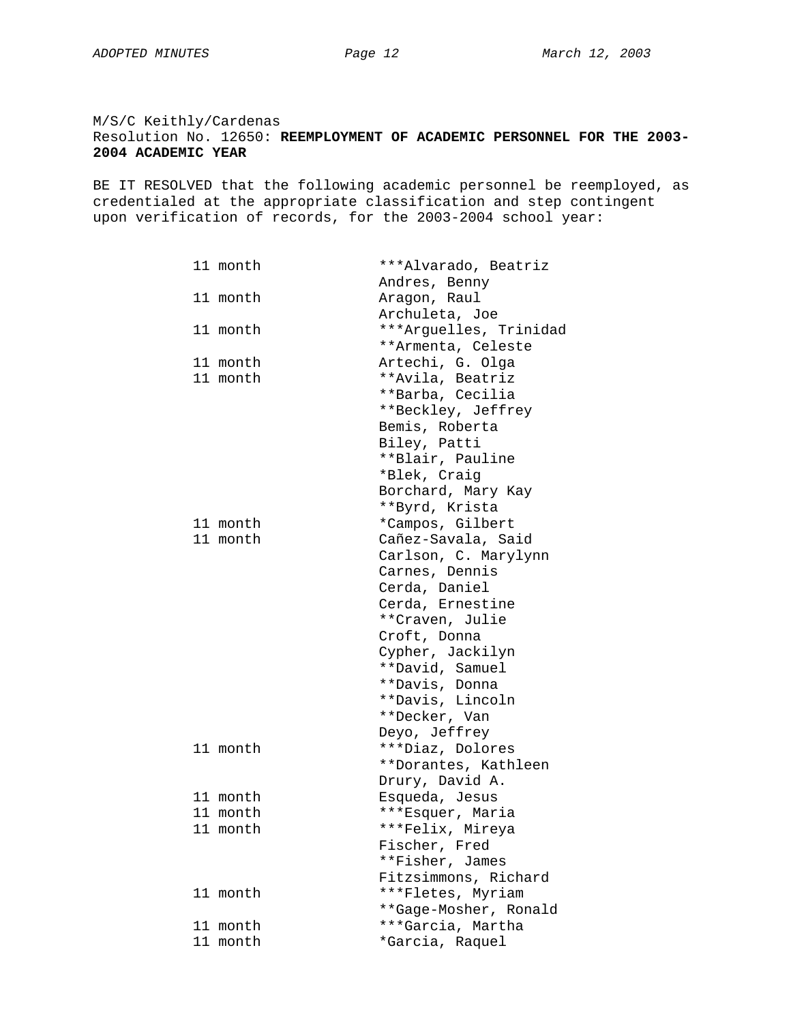# M/S/C Keithly/Cardenas Resolution No. 12650: **REEMPLOYMENT OF ACADEMIC PERSONNEL FOR THE 2003- 2004 ACADEMIC YEAR**

BE IT RESOLVED that the following academic personnel be reemployed, as credentialed at the appropriate classification and step contingent upon verification of records, for the 2003-2004 school year:

| 11 month    | ***Alvarado, Beatriz   |
|-------------|------------------------|
|             | Andres, Benny          |
| 11 month    | Aragon, Raul           |
|             | Archuleta, Joe         |
| 11 month    | ***Arguelles, Trinidad |
|             | **Armenta, Celeste     |
| 11 month    | Artechi, G. Olga       |
| 11 month    | **Avila, Beatriz       |
|             | **Barba, Cecilia       |
|             | **Beckley, Jeffrey     |
|             | Bemis, Roberta         |
|             | Biley, Patti           |
|             | **Blair, Pauline       |
|             | *Blek, Craig           |
|             | Borchard, Mary Kay     |
|             | **Byrd, Krista         |
| 11 month    | *Campos, Gilbert       |
| 11 month    | Cañez-Savala, Said     |
|             | Carlson, C. Marylynn   |
|             | Carnes, Dennis         |
|             | Cerda, Daniel          |
|             | Cerda, Ernestine       |
|             | **Craven, Julie        |
|             | Croft, Donna           |
|             | Cypher, Jackilyn       |
|             | **David, Samuel        |
|             | **Davis, Donna         |
|             | **Davis, Lincoln       |
|             | **Decker, Van          |
|             | Deyo, Jeffrey          |
| 11 month    | ***Diaz, Dolores       |
|             | **Dorantes, Kathleen   |
|             | Drury, David A.        |
| 11 month    | Esqueda, Jesus         |
| 11 month    | ***Esquer, Maria       |
| 11 month    | ***Felix, Mireya       |
|             | Fischer, Fred          |
|             | **Fisher, James        |
|             | Fitzsimmons, Richard   |
| 11 month    | ***Fletes, Myriam      |
|             | **Gage-Mosher, Ronald  |
| 11<br>month | ***Garcia, Martha      |
| 11 month    | *Garcia, Raquel        |
|             |                        |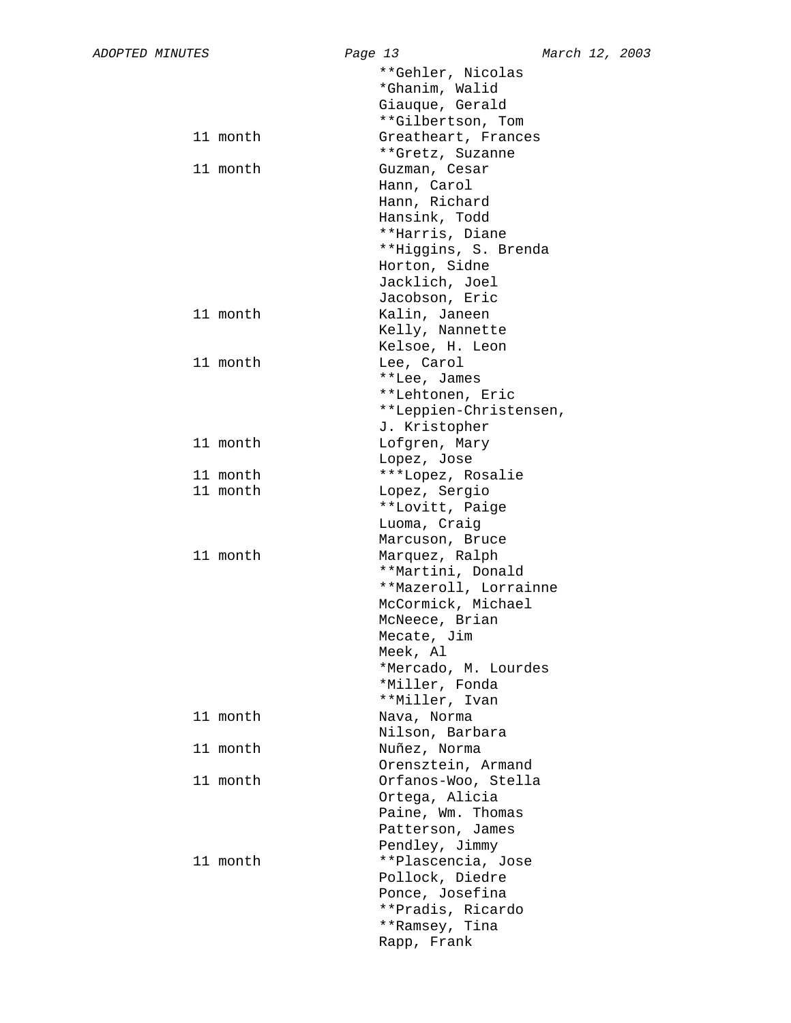|          | **Gehler, Nicolas                   |
|----------|-------------------------------------|
|          | *Ghanim, Walid                      |
|          | Giauque, Gerald                     |
|          | **Gilbertson, Tom                   |
| 11 month | Greatheart, Frances                 |
|          | **Gretz, Suzanne                    |
| 11 month | Guzman, Cesar                       |
|          | Hann, Carol                         |
|          | Hann, Richard                       |
|          | Hansink, Todd                       |
|          | **Harris, Diane                     |
|          | **Higgins, S. Brenda                |
|          | Horton, Sidne                       |
|          | Jacklich, Joel                      |
|          | Jacobson, Eric                      |
| 11 month | Kalin, Janeen                       |
|          | Kelly, Nannette                     |
|          | Kelsoe, H. Leon                     |
| 11 month | Lee, Carol                          |
|          | **Lee, James                        |
|          | **Lehtonen, Eric                    |
|          | **Leppien-Christensen,              |
|          | J. Kristopher                       |
| 11 month | Lofgren, Mary                       |
|          | Lopez, Jose                         |
| 11 month | ***Lopez, Rosalie                   |
| 11 month |                                     |
|          | Lopez, Sergio                       |
|          | **Lovitt, Paige                     |
|          | Luoma, Craig                        |
| 11 month | Marcuson, Bruce                     |
|          | Marquez, Ralph<br>**Martini, Donald |
|          |                                     |
|          | **Mazeroll, Lorrainne               |
|          | McCormick, Michael                  |
|          | McNeece, Brian                      |
|          | Mecate, Jim                         |
|          | Meek, Al                            |
|          | *Mercado, M. Lourdes                |
|          | *Miller, Fonda                      |
|          | **Miller, Ivan                      |
| 11 month | Nava, Norma                         |
|          | Nilson, Barbara                     |
| 11 month | Nuñez, Norma                        |
|          | Orensztein, Armand                  |
| 11 month | Orfanos-Woo, Stella                 |
|          | Ortega, Alicia                      |
|          | Paine, Wm. Thomas                   |
|          | Patterson, James                    |
|          | Pendley, Jimmy                      |
| 11 month | **Plascencia, Jose                  |
|          | Pollock, Diedre                     |
|          | Ponce, Josefina                     |
|          | **Pradis, Ricardo                   |
|          | **Ramsey, Tina                      |
|          | Rapp, Frank                         |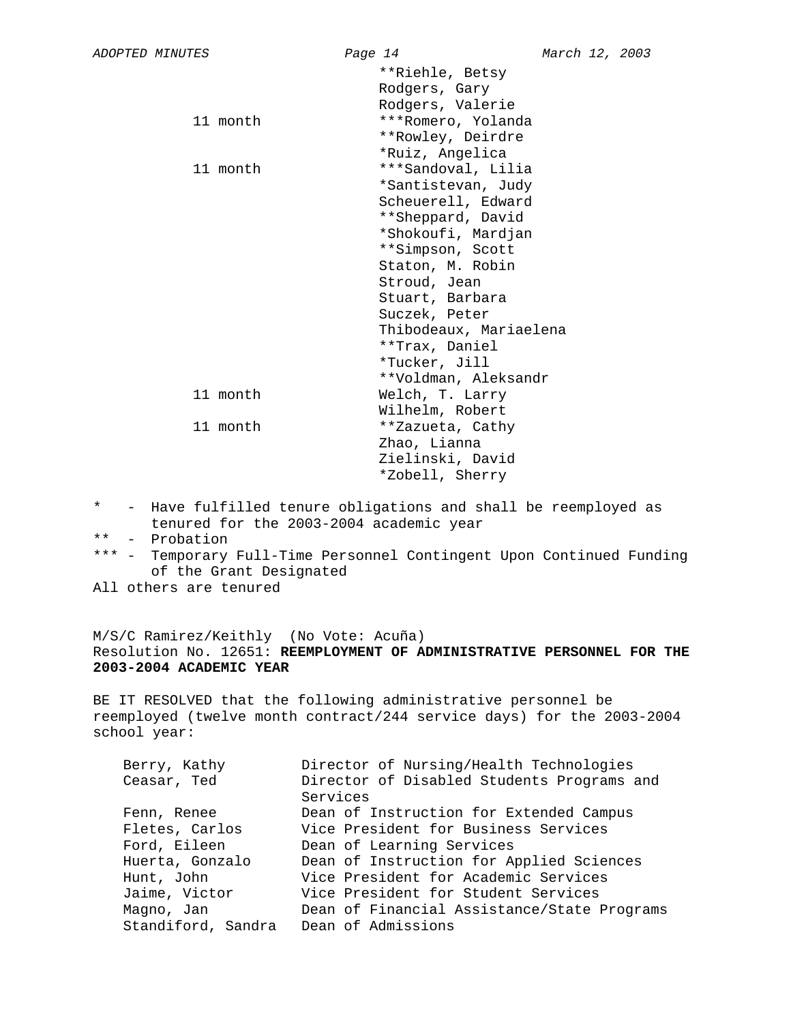| **Riehle, Betsy<br>Rodgers, Gary<br>Rodgers, Valerie<br>***Romero, Yolanda<br>11 month<br>**Rowley, Deirdre<br>*Ruiz, Angelica<br>***Sandoval, Lilia<br>11 month<br>*Santistevan, Judy<br>Scheuerell, Edward<br>**Sheppard, David<br>*Shokoufi, Mardjan<br>**Simpson, Scott<br>Staton, M. Robin<br>Stroud, Jean<br>Stuart, Barbara<br>Suczek, Peter |  |
|-----------------------------------------------------------------------------------------------------------------------------------------------------------------------------------------------------------------------------------------------------------------------------------------------------------------------------------------------------|--|
|                                                                                                                                                                                                                                                                                                                                                     |  |
|                                                                                                                                                                                                                                                                                                                                                     |  |
|                                                                                                                                                                                                                                                                                                                                                     |  |
|                                                                                                                                                                                                                                                                                                                                                     |  |
|                                                                                                                                                                                                                                                                                                                                                     |  |
|                                                                                                                                                                                                                                                                                                                                                     |  |
|                                                                                                                                                                                                                                                                                                                                                     |  |
|                                                                                                                                                                                                                                                                                                                                                     |  |
|                                                                                                                                                                                                                                                                                                                                                     |  |
|                                                                                                                                                                                                                                                                                                                                                     |  |
|                                                                                                                                                                                                                                                                                                                                                     |  |
|                                                                                                                                                                                                                                                                                                                                                     |  |
|                                                                                                                                                                                                                                                                                                                                                     |  |
|                                                                                                                                                                                                                                                                                                                                                     |  |
|                                                                                                                                                                                                                                                                                                                                                     |  |
|                                                                                                                                                                                                                                                                                                                                                     |  |
| Thibodeaux, Mariaelena                                                                                                                                                                                                                                                                                                                              |  |
| **Trax, Daniel                                                                                                                                                                                                                                                                                                                                      |  |
| *Tucker, Jill                                                                                                                                                                                                                                                                                                                                       |  |
| **Voldman, Aleksandr                                                                                                                                                                                                                                                                                                                                |  |
| 11 month<br>Welch, T. Larry                                                                                                                                                                                                                                                                                                                         |  |
| Wilhelm, Robert                                                                                                                                                                                                                                                                                                                                     |  |
| 11 month<br>**Zazueta, Cathy                                                                                                                                                                                                                                                                                                                        |  |
| Zhao, Lianna                                                                                                                                                                                                                                                                                                                                        |  |
| Zielinski, David                                                                                                                                                                                                                                                                                                                                    |  |
| *Zobell, Sherry                                                                                                                                                                                                                                                                                                                                     |  |

- \* Have fulfilled tenure obligations and shall be reemployed as tenured for the 2003-2004 academic year
- \*\* Probation
- \*\*\* Temporary Full-Time Personnel Contingent Upon Continued Funding of the Grant Designated
- All others are tenured

M/S/C Ramirez/Keithly (No Vote: Acuña) Resolution No. 12651: **REEMPLOYMENT OF ADMINISTRATIVE PERSONNEL FOR THE 2003-2004 ACADEMIC YEAR**

BE IT RESOLVED that the following administrative personnel be reemployed (twelve month contract/244 service days) for the 2003-2004 school year:

| Berry, Kathy       | Director of Nursing/Health Technologies     |
|--------------------|---------------------------------------------|
| Ceasar, Ted        | Director of Disabled Students Programs and  |
|                    | Services                                    |
| Fenn, Renee        | Dean of Instruction for Extended Campus     |
| Fletes, Carlos     | Vice President for Business Services        |
| Ford, Eileen       | Dean of Learning Services                   |
| Huerta, Gonzalo    | Dean of Instruction for Applied Sciences    |
| Hunt, John         | Vice President for Academic Services        |
| Jaime, Victor      | Vice President for Student Services         |
| Magno, Jan         | Dean of Financial Assistance/State Programs |
| Standiford, Sandra | Dean of Admissions                          |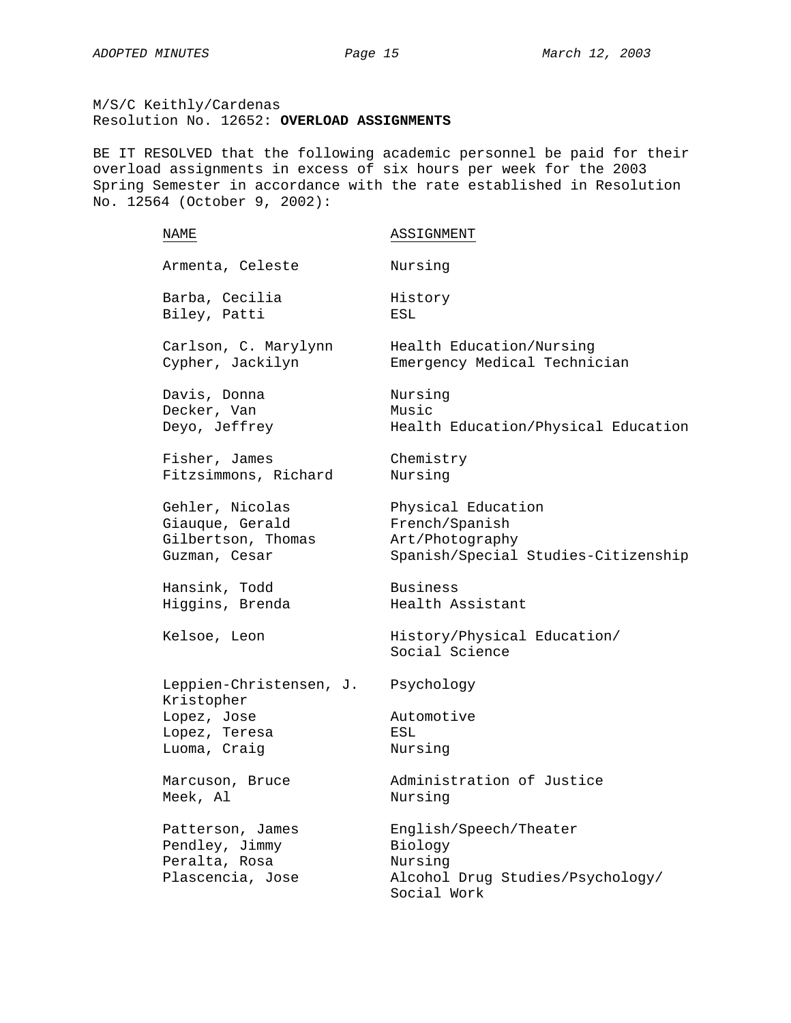M/S/C Keithly/Cardenas Resolution No. 12652: **OVERLOAD ASSIGNMENTS**

BE IT RESOLVED that the following academic personnel be paid for their overload assignments in excess of six hours per week for the 2003 Spring Semester in accordance with the rate established in Resolution No. 12564 (October 9, 2002):

| NAME                                                                    | ASSIGNMENT                                                                                      |
|-------------------------------------------------------------------------|-------------------------------------------------------------------------------------------------|
| Armenta, Celeste                                                        | Nursing                                                                                         |
| Barba, Cecilia                                                          | History                                                                                         |
| Biley, Patti                                                            | ESL                                                                                             |
| Carlson, C. Marylynn                                                    | Health Education/Nursing                                                                        |
| Cypher, Jackilyn                                                        | Emergency Medical Technician                                                                    |
| Davis, Donna                                                            | Nursing                                                                                         |
| Decker, Van                                                             | Music                                                                                           |
| Deyo, Jeffrey                                                           | Health Education/Physical Education                                                             |
| Fisher, James                                                           | Chemistry                                                                                       |
| Fitzsimmons, Richard                                                    | Nursing                                                                                         |
| Gehler, Nicolas                                                         | Physical Education                                                                              |
| Giauque, Gerald                                                         | French/Spanish                                                                                  |
| Gilbertson, Thomas                                                      | Art/Photography                                                                                 |
| Guzman, Cesar                                                           | Spanish/Special Studies-Citizenship                                                             |
| Hansink, Todd                                                           | Business                                                                                        |
| Higgins, Brenda                                                         | Health Assistant                                                                                |
| Kelsoe, Leon                                                            | History/Physical Education/<br>Social Science                                                   |
| Leppien-Christensen, J.<br>Kristopher                                   | Psychology                                                                                      |
| Lopez, Jose                                                             | Automotive                                                                                      |
| Lopez, Teresa                                                           | ESL                                                                                             |
| Luoma, Craig                                                            | Nursing                                                                                         |
| Marcuson, Bruce                                                         | Administration of Justice                                                                       |
| Meek, Al                                                                | Nursing                                                                                         |
| Patterson, James<br>Pendley, Jimmy<br>Peralta, Rosa<br>Plascencia, Jose | English/Speech/Theater<br>Biology<br>Nursing<br>Alcohol Drug Studies/Psychology/<br>Social Work |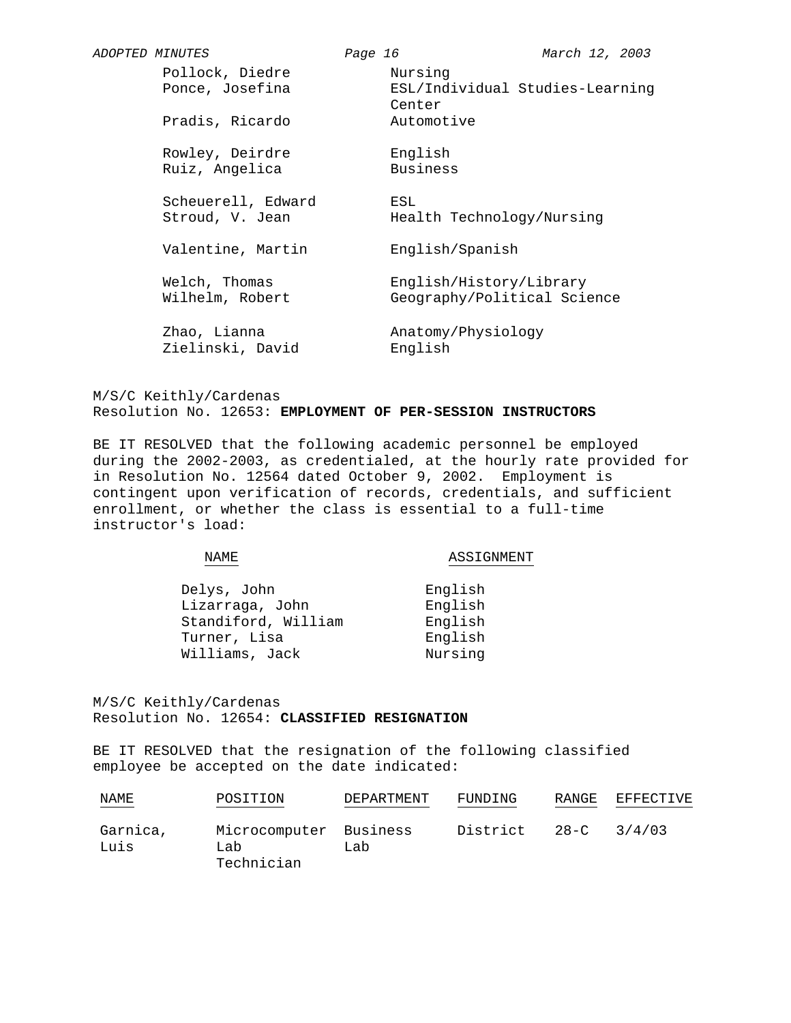| <i>ADOPTED MINUTES</i> |                                       | Page 16 |                                                        | March 12, 2003                  |
|------------------------|---------------------------------------|---------|--------------------------------------------------------|---------------------------------|
|                        | Pollock, Diedre<br>Ponce, Josefina    |         | Nursing<br>Center                                      | ESL/Individual Studies-Learning |
|                        | Pradis, Ricardo                       |         | Automotive                                             |                                 |
|                        | Rowley, Deirdre<br>Ruiz, Angelica     |         | English<br>Business                                    |                                 |
|                        | Scheuerell, Edward<br>Stroud, V. Jean |         | ESL<br>Health Technology/Nursing                       |                                 |
|                        | Valentine, Martin                     |         | English/Spanish                                        |                                 |
|                        | Welch, Thomas<br>Wilhelm, Robert      |         | English/History/Library<br>Geography/Political Science |                                 |
|                        | Zhao, Lianna<br>Zielinski, David      |         | Anatomy/Physiology<br>English                          |                                 |

## M/S/C Keithly/Cardenas Resolution No. 12653: **EMPLOYMENT OF PER-SESSION INSTRUCTORS**

BE IT RESOLVED that the following academic personnel be employed during the 2002-2003, as credentialed, at the hourly rate provided for in Resolution No. 12564 dated October 9, 2002. Employment is contingent upon verification of records, credentials, and sufficient enrollment, or whether the class is essential to a full-time instructor's load:

NAME

ASSIGNMENT

| Delys, John         | English |
|---------------------|---------|
| Lizarraga, John     | English |
| Standiford, William | English |
| Turner, Lisa        | English |
| Williams, Jack      | Nursing |

M/S/C Keithly/Cardenas Resolution No. 12654: **CLASSIFIED RESIGNATION**

BE IT RESOLVED that the resignation of the following classified employee be accepted on the date indicated:

| NAME             | POSITION                                    | DEPARTMENT | FUNDING  | RANGE    | EFFECTIVE |
|------------------|---------------------------------------------|------------|----------|----------|-----------|
| Garnica,<br>Luis | Microcomputer Business<br>Lab<br>Technician | Lab        | District | $28 - C$ | 3/4/03    |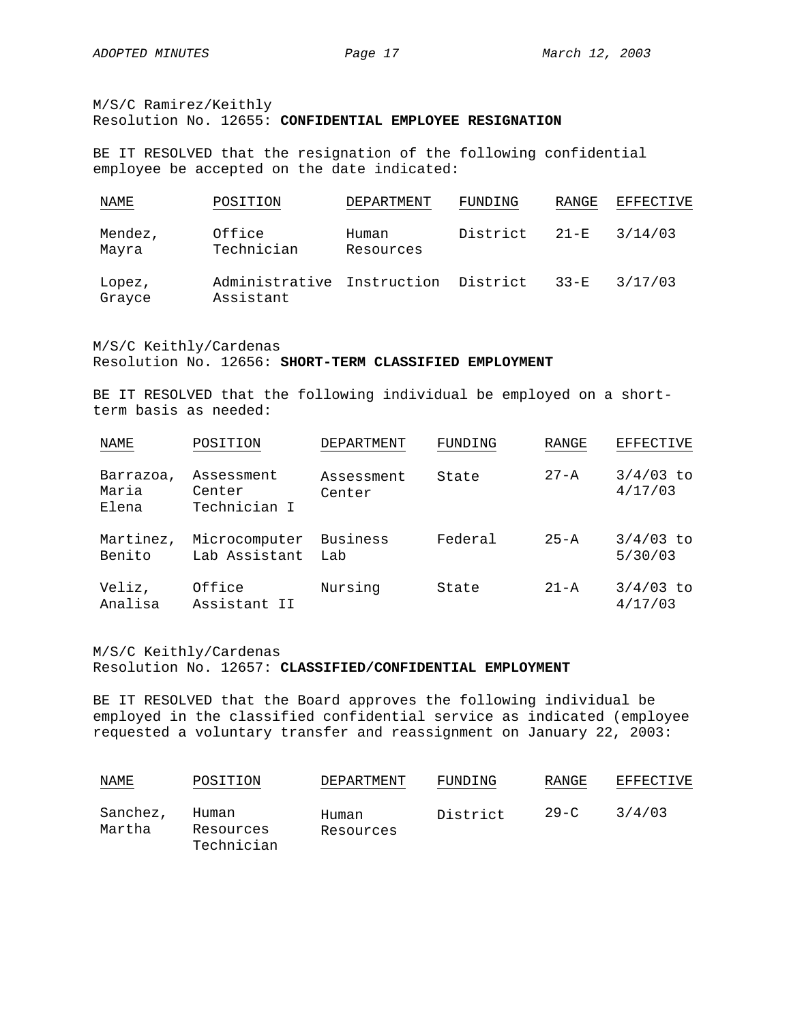M/S/C Ramirez/Keithly Resolution No. 12655: **CONFIDENTIAL EMPLOYEE RESIGNATION**

BE IT RESOLVED that the resignation of the following confidential employee be accepted on the date indicated:

| NAME             | POSITION                                         | DEPARTMENT         | FUNDING  | RANGE    | EFFECTIVE |
|------------------|--------------------------------------------------|--------------------|----------|----------|-----------|
| Mendez,<br>Mayra | Office<br>Technician                             | Human<br>Resources | District | $21 - F$ | 3/14/03   |
| Lopez,<br>Grayce | Administrative Instruction District<br>Assistant |                    |          | $33 - F$ | 3/17/03   |

M/S/C Keithly/Cardenas Resolution No. 12656: **SHORT-TERM CLASSIFIED EMPLOYMENT**

BE IT RESOLVED that the following individual be employed on a shortterm basis as needed:

| NAME                        | POSITION                             | DEPARTMENT           | FUNDING | RANGE    | <b>EFFECTIVE</b>       |
|-----------------------------|--------------------------------------|----------------------|---------|----------|------------------------|
| Barrazoa,<br>Maria<br>Elena | Assessment<br>Center<br>Technician I | Assessment<br>Center | State   | $27 - A$ | $3/4/03$ to<br>4/17/03 |
| Martinez,<br>Benito         | Microcomputer<br>Lab Assistant       | Business<br>Lab      | Federal | $25 - A$ | $3/4/03$ to<br>5/30/03 |
| Veliz,<br>Analisa           | Office<br>Assistant II               | Nursing              | State   | $21 - A$ | $3/4/03$ to<br>4/17/03 |

### M/S/C Keithly/Cardenas

#### Resolution No. 12657: **CLASSIFIED/CONFIDENTIAL EMPLOYMENT**

BE IT RESOLVED that the Board approves the following individual be employed in the classified confidential service as indicated (employee requested a voluntary transfer and reassignment on January 22, 2003:

| <b>NAME</b>        | POSITION                         | DEPARTMENT         | FUNDING  | RANGE    | EFFECTIVE |
|--------------------|----------------------------------|--------------------|----------|----------|-----------|
| Sanchez,<br>Martha | Human<br>Resources<br>Technician | Human<br>Resources | District | $29 - C$ | 3/4/03    |